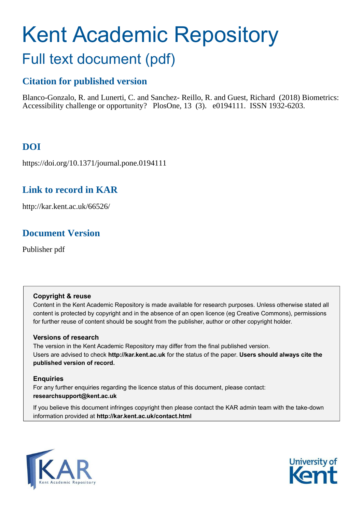# Kent Academic Repository Full text document (pdf)

# **Citation for published version**

Blanco-Gonzalo, R. and Lunerti, C. and Sanchez- Reillo, R. and Guest, Richard (2018) Biometrics: Accessibility challenge or opportunity? PlosOne, 13 (3). e0194111. ISSN 1932-6203.

# **DOI**

https://doi.org/10.1371/journal.pone.0194111

# **Link to record in KAR**

http://kar.kent.ac.uk/66526/

# **Document Version**

Publisher pdf

#### **Copyright & reuse**

Content in the Kent Academic Repository is made available for research purposes. Unless otherwise stated all content is protected by copyright and in the absence of an open licence (eg Creative Commons), permissions for further reuse of content should be sought from the publisher, author or other copyright holder.

#### **Versions of research**

The version in the Kent Academic Repository may differ from the final published version. Users are advised to check **http://kar.kent.ac.uk** for the status of the paper. **Users should always cite the published version of record.**

#### **Enquiries**

For any further enquiries regarding the licence status of this document, please contact: **researchsupport@kent.ac.uk**

If you believe this document infringes copyright then please contact the KAR admin team with the take-down information provided at **http://kar.kent.ac.uk/contact.html**



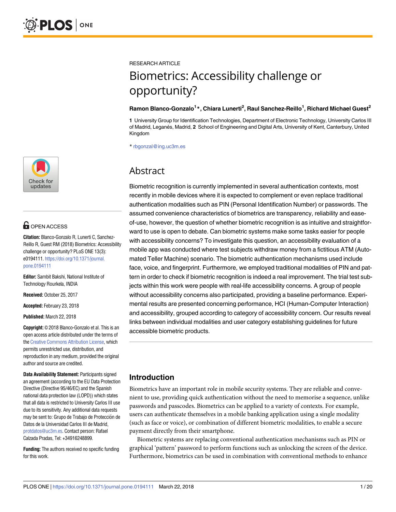

# **OPEN ACCESS**

**Citation:** Blanco-Gonzalo R, Lunerti C, Sanchez-Reillo R, Guest RM (2018) Biometrics: Accessibility challenge or opportunity? PLoS ONE 13(3): e0194111. [https://doi.org/10.1371/journal.](https://doi.org/10.1371/journal.pone.0194111) [pone.0194111](https://doi.org/10.1371/journal.pone.0194111)

**Editor:** Sambit Bakshi, National Institute of Technology Rourkela, INDIA

**Received:** October 25, 2017

**Accepted:** February 23, 2018

**Published:** March 22, 2018

**Copyright:** © 2018 Blanco-Gonzalo et al. This is an open access article distributed under the terms of the [Creative Commons Attribution License,](http://creativecommons.org/licenses/by/4.0/) which permits unrestricted use, distribution, and reproduction in any medium, provided the original author and source are credited.

**Data Availability Statement:** Participants signed an agreement (according to the EU Data Protection Directive (Directive 95/46/EC) and the Spanish national data protection law (LOPD)) which states that all data is restricted to University Carlos III use due to its sensitivity. Any additional data requests may be sent to: Grupo de Trabajo de Protección de Datos de la Universidad Carlos III de Madrid, [protdatos@uc3m.es](mailto:protdatos@uc3m.es). Contact person: Rafael Calzada Pradas, Tel: +34916248899.

**Funding:** The authors received no specific funding for this work.

<span id="page-1-0"></span>RESEARCH ARTICLE

# Biometrics: Accessibility challenge or opportunity?

#### **Ramon Blanco-Gonzalo<sup>1</sup> \*, Chiara Lunerti<sup>2</sup> , Raul Sanchez-Reillo<sup>1</sup> , Richard Michael Guest<sup>2</sup>**

**1** University Group for Identification Technologies, Department of Electronic Technology, University Carlos III of Madrid, Legane´s, Madrid, **2** School of Engineering and Digital Arts, University of Kent, Canterbury, United Kingdom

\* rbgonzal@ing.uc3m.es

## Abstract

Biometric recognition is currently implemented in several authentication contexts, most recently in mobile devices where it is expected to complement or even replace traditional authentication modalities such as PIN (Personal Identification Number) or passwords. The assumed convenience characteristics of biometrics are transparency, reliability and easeof-use, however, the question of whether biometric recognition is as intuitive and straightforward to use is open to debate. Can biometric systems make some tasks easier for people with accessibility concerns? To investigate this question, an accessibility evaluation of a mobile app was conducted where test subjects withdraw money from a fictitious ATM (Automated Teller Machine) scenario. The biometric authentication mechanisms used include face, voice, and fingerprint. Furthermore, we employed traditional modalities of PIN and pattern in order to check if biometric recognition is indeed a real improvement. The trial test subjects within this work were people with real-life accessibility concerns. A group of people without accessibility concerns also participated, providing a baseline performance. Experimental results are presented concerning performance, HCI (Human-Computer Interaction) and accessibility, grouped according to category of accessibility concern. Our results reveal links between individual modalities and user category establishing guidelines for future accessible biometric products.

### **Introduction**

Biometrics have an important role in mobile security systems. They are reliable and convenient to use, providing quick authentication without the need to memorise a sequence, unlike passwords and passcodes. Biometrics can be applied to a variety of contexts. For example, users can authenticate themselves in a mobile banking application using a single modality (such as face or voice), or combination of different biometric modalities, to enable a secure payment directly from their smartphone.

Biometric systems are replacing conventional authentication mechanisms such as PIN or graphical 'pattern' password to perform functions such as unlocking the screen of the device. Furthermore, biometrics can be used in combination with conventional methods to enhance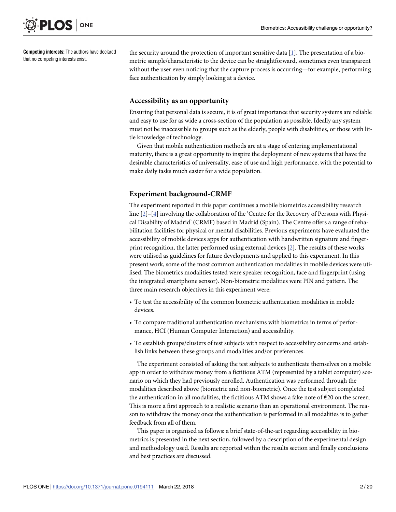<span id="page-2-0"></span>

**Competing interests:** The authors have declared that no competing interests exist.

the security around the protection of important sensitive data  $[1]$  $[1]$ . The presentation of a biometric sample/characteristic to the device can be straightforward, sometimes even transparent without the user even noticing that the capture process is occurring—for example, performing face authentication by simply looking at a device.

#### **Accessibility as an opportunity**

Ensuring that personal data is secure, it is of great importance that security systems are reliable and easy to use for as wide a cross-section of the population as possible. Ideally any system must not be inaccessible to groups such as the elderly, people with disabilities, or those with little knowledge of technology.

Given that mobile authentication methods are at a stage of entering implementational maturity, there is a great opportunity to inspire the deployment of new systems that have the desirable characteristics of universality, ease of use and high performance, with the potential to make daily tasks much easier for a wide population.

#### **Experiment background-CRMF**

The experiment reported in this paper continues a mobile biometrics accessibility research line  $[2]-[4]$  $[2]-[4]$  $[2]-[4]$  involving the collaboration of the 'Centre for the Recovery of Persons with Physical Disability of Madrid' (CRMF) based in Madrid (Spain). The Centre offers a range of rehabilitation facilities for physical or mental disabilities. Previous experiments have evaluated the accessibility of mobile devices apps for authentication with handwritten signature and fingerprint recognition, the latter performed using external devices [[2\]](#page-18-0). The results of these works were utilised as guidelines for future developments and applied to this experiment. In this present work, some of the most common authentication modalities in mobile devices were utilised. The biometrics modalities tested were speaker recognition, face and fingerprint (using the integrated smartphone sensor). Non-biometric modalities were PIN and pattern. The three main research objectives in this experiment were:

- To test the accessibility of the common biometric authentication modalities in mobile devices.
- To compare traditional authentication mechanisms with biometrics in terms of performance, HCI (Human Computer Interaction) and accessibility.
- To establish groups/clusters of test subjects with respect to accessibility concerns and establish links between these groups and modalities and/or preferences.

The experiment consisted of asking the test subjects to authenticate themselves on a mobile app in order to withdraw money from a fictitious ATM (represented by a tablet computer) scenario on which they had previously enrolled. Authentication was performed through the modalities described above (biometric and non-biometric). Once the test subject completed the authentication in all modalities, the fictitious ATM shows a fake note of €20 on the screen. This is more a first approach to a realistic scenario than an operational environment. The reason to withdraw the money once the authentication is performed in all modalities is to gather feedback from all of them.

This paper is organised as follows: a brief state-of-the-art regarding accessibility in biometrics is presented in the next section, followed by a description of the experimental design and methodology used. Results are reported within the results section and finally conclusions and best practices are discussed.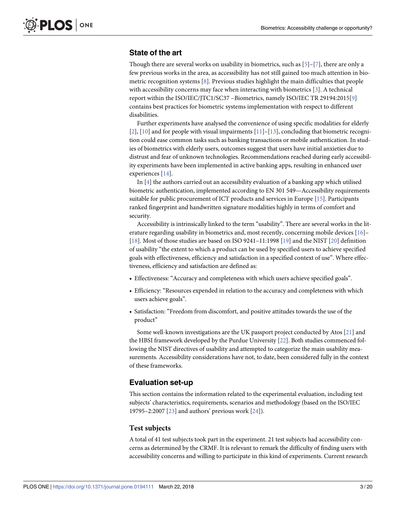#### <span id="page-3-0"></span>**State of the art**

Though there are several works on usability in biometrics, such as  $[5]-[7]$  $[5]-[7]$  $[5]-[7]$  $[5]-[7]$ , there are only a few previous works in the area, as accessibility has not still gained too much attention in biometric recognition systems  $[8]$  $[8]$ . Previous studies highlight the main difficulties that people with accessibility concerns may face when interacting with biometrics [[3\]](#page-18-0). A technical report within the ISO/IEC/JTC1/SC37 –Biometrics, namely ISO/IEC TR 29194:2015[[9\]](#page-18-0) contains best practices for biometric systems implementation with respect to different disabilities.

Further experiments have analysed the convenience of using specific modalities for elderly  $[2]$  $[2]$ ,  $[10]$  and for people with visual impairments  $[11]$ – $[13]$  $[13]$  $[13]$ , concluding that biometric recognition could ease common tasks such as banking transactions or mobile authentication. In studies of biometrics with elderly users, outcomes suggest that users have initial anxieties due to distrust and fear of unknown technologies. Recommendations reached during early accessibility experiments have been implemented in active banking apps, resulting in enhanced user experiences [\[14\]](#page-18-0).

In [\[4](#page-18-0)] the authors carried out an accessibility evaluation of a banking app which utilised biometric authentication, implemented according to EN 301 549—Accessibility requirements suitable for public procurement of ICT products and services in Europe [[15](#page-18-0)]. Participants ranked fingerprint and handwritten signature modalities highly in terms of comfort and security.

Accessibility is intrinsically linked to the term "usability". There are several works in the lit-erature regarding usability in biometrics and, most recently, concerning mobile devices [\[16\]](#page-18-0)-[\[18\]](#page-18-0). Most of those studies are based on ISO 9241–11:1998 [\[19\]](#page-18-0) and the NIST [[20](#page-18-0)] definition of usability "the extent to which a product can be used by specified users to achieve specified goals with effectiveness, efficiency and satisfaction in a specified context of use". Where effectiveness, efficiency and satisfaction are defined as:

- Effectiveness: "Accuracy and completeness with which users achieve specified goals".
- Efficiency: "Resources expended in relation to the accuracy and completeness with which users achieve goals".
- Satisfaction: "Freedom from discomfort, and positive attitudes towards the use of the product"

Some well-known investigations are the UK passport project conducted by Atos [[21](#page-18-0)] and the HBSI framework developed by the Purdue University [[22](#page-18-0)]. Both studies commenced following the NIST directives of usability and attempted to categorize the main usability measurements. Accessibility considerations have not, to date, been considered fully in the context of these frameworks.

#### **Evaluation set-up**

This section contains the information related to the experimental evaluation, including test subjects' characteristics, requirements, scenarios and methodology (based on the ISO/IEC 19795–2:2007 [[23](#page-19-0)] and authors' previous work [\[24\]](#page-19-0)).

#### **Test subjects**

A total of 41 test subjects took part in the experiment. 21 test subjects had accessibility concerns as determined by the CRMF. It is relevant to remark the difficulty of finding users with accessibility concerns and willing to participate in this kind of experiments. Current research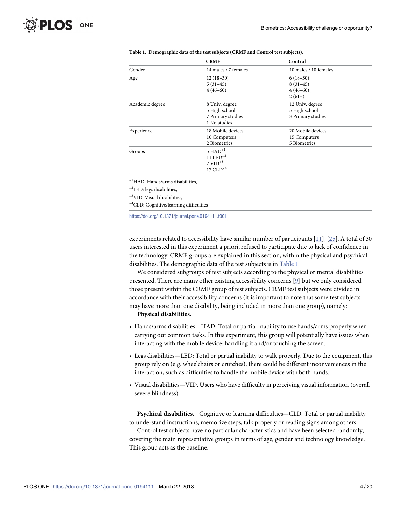|                                                                 | <b>CRMF</b>                                                                                   | Control                                               |
|-----------------------------------------------------------------|-----------------------------------------------------------------------------------------------|-------------------------------------------------------|
| Gender                                                          | 14 males / 7 females                                                                          | 10 males / 10 females                                 |
| Age                                                             | $12(18-30)$<br>$6(18-30)$<br>$5(31-45)$<br>$8(31-45)$<br>$4(46-60)$<br>$4(46-60)$<br>$2(61+)$ |                                                       |
| Academic degree                                                 | 8 Univ. degree<br>5 High school<br>7 Primary studies<br>1 No studies                          | 12 Univ. degree<br>5 High school<br>3 Primary studies |
| 18 Mobile devices<br>Experience<br>10 Computers<br>2 Biometrics |                                                                                               | 20 Mobile devices<br>15 Computers<br>5 Biometrics     |
| Groups                                                          | $5 HAD*1$<br>11 LED $*^2$<br>$2 \text{VID}^{*3}$<br>$17$ CLD <sup><math>*4</math></sup>       |                                                       |

<span id="page-4-0"></span>

1HAD: Hands/arms disabilities,

2 LED: legs disabilities,

3VID: Visual disabilities,

4CLD: Cognitive/learning difficulties

<https://doi.org/10.1371/journal.pone.0194111.t001>

experiments related to accessibility have similar number of participants  $[11]$ ,  $[25]$ . A total of 30 users interested in this experiment a priori, refused to participate due to lack of confidence in the technology. CRMF groups are explained in this section, within the physical and psychical disabilities. The demographic data of the test subjects is in [Table 1](#page-3-0).

We considered subgroups of test subjects according to the physical or mental disabilities presented. There are many other existing accessibility concerns [\[9](#page-18-0)] but we only considered those present within the CRMF group of test subjects. CRMF test subjects were divided in accordance with their accessibility concerns (it is important to note that some test subjects may have more than one disability, being included in more than one group), namely:

#### **Physical disabilities.**

- Hands/arms disabilities—HAD: Total or partial inability to use hands/arms properly when carrying out common tasks. In this experiment, this group will potentially have issues when interacting with the mobile device: handling it and/or touching the screen.
- Legs disabilities—LED: Total or partial inability to walk properly. Due to the equipment, this group rely on (e.g. wheelchairs or crutches), there could be different inconveniences in the interaction, such as difficulties to handle the mobile device with both hands.
- Visual disabilities—VID. Users who have difficulty in perceiving visual information (overall severe blindness).

**Psychical disabilities.** Cognitive or learning difficulties—CLD. Total or partial inability to understand instructions, memorize steps, talk properly or reading signs among others.

Control test subjects have no particular characteristics and have been selected randomly, covering the main representative groups in terms of age, gender and technology knowledge. This group acts as the baseline.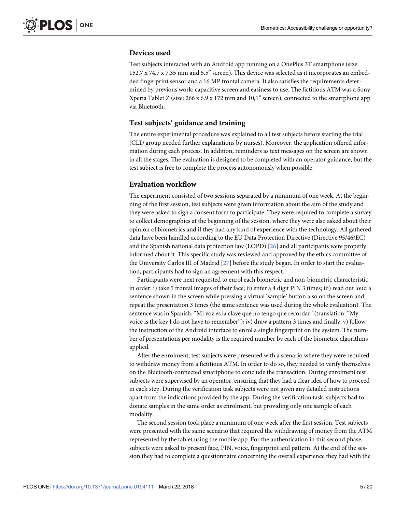#### <span id="page-5-0"></span>**Devices used**

Test subjects interacted with an Android app running on a OnePlus 3T smartphone (size: 152.7 x 74.7 x 7.35 mm and 5.5" screen). This device was selected as it incorporates an embedded fingerprint sensor and a 16 MP frontal camera. It also satisfies the requirements determined by previous work: capacitive screen and easiness to use. The fictitious ATM was a Sony Xperia Tablet Z (size: 266 x 6.9 x 172 mm and 10,1" screen), connected to the smartphone app via Bluetooth.

#### **Test subjects' guidance and training**

The entire experimental procedure was explained to all test subjects before starting the trial (CLD group needed further explanations by nurses). Moreover, the application offered information during each process. In addition, reminders as text messages on the screen are shown in all the stages. The evaluation is designed to be completed with an operator guidance, but the test subject is free to complete the process autonomously when possible.

#### **Evaluation workflow**

The experiment consisted of two sessions separated by a minimum of one week. At the beginning of the first session, test subjects were given information about the aim of the study and they were asked to sign a consent form to participate. They were required to complete a survey to collect demographics at the beginning of the session, where they were also asked about their opinion of biometrics and if they had any kind of experience with the technology. All gathered data have been handled according to the EU Data Protection Directive (Directive 95/46/EC) and the Spanish national data protection law (LOPD) [[26](#page-19-0)] and all participants were properly informed about it. This specific study was reviewed and approved by the ethics committee of the University Carlos III of Madrid [\[27\]](#page-19-0) before the study began. In order to start the evaluation, participants had to sign an agreement with this respect.

Participants were next requested to enrol each biometric and non-biometric characteristic in order: i) take 5 frontal images of their face; ii) enter a 4 digit PIN 3 times; iii) read out loud a sentence shown in the screen while pressing a virtual 'sample' button also on the screen and repeat the presentation 3 times (the same sentence was used during the whole evaluation). The sentence was in Spanish: "Mi voz es la clave que no tengo que recordar" (translation: "My voice is the key I do not have to remember"); iv) draw a pattern 3 times and finally, v) follow the instruction of the Android interface to enrol a single fingerprint on the system. The number of presentations per modality is the required number by each of the biometric algorithms applied.

After the enrolment, test subjects were presented with a scenario where they were required to withdraw money from a fictitious ATM. In order to do so, they needed to verify themselves on the Bluetooth-connected smartphone to conclude the transaction. During enrolment test subjects were supervised by an operator, ensuring that they had a clear idea of how to proceed in each step. During the verification task subjects were not given any detailed instructions apart from the indications provided by the app. During the verification task, subjects had to donate samples in the same order as enrolment, but providing only one sample of each modality.

The second session took place a minimum of one week after the first session. Test subjects were presented with the same scenario that required the withdrawing of money from the ATM represented by the tablet using the mobile app. For the authentication in this second phase, subjects were asked to present face, PIN, voice, fingerprint and pattern. At the end of the session they had to complete a questionnaire concerning the overall experience they had with the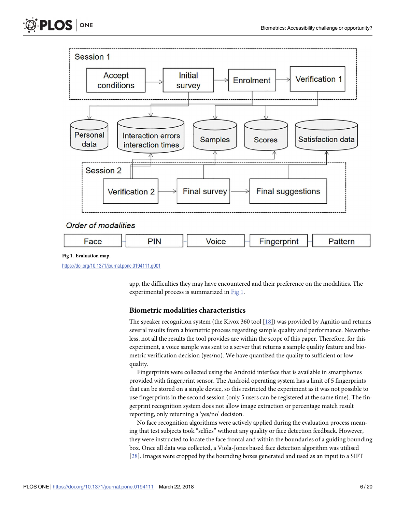<span id="page-6-0"></span>





**[Fig 1. E](#page-5-0)valuation map.**

<https://doi.org/10.1371/journal.pone.0194111.g001>

app, the difficulties they may have encountered and their preference on the modalities. The experimental process is summarized in [Fig 1.](#page-5-0)

#### **Biometric modalities characteristics**

The speaker recognition system (the Kivox 360 tool  $[18]$  $[18]$  $[18]$ ) was provided by Agnitio and returns several results from a biometric process regarding sample quality and performance. Nevertheless, not all the results the tool provides are within the scope of this paper. Therefore, for this experiment, a voice sample was sent to a server that returns a sample quality feature and biometric verification decision (yes/no). We have quantized the quality to sufficient or low quality.

Fingerprints were collected using the Android interface that is available in smartphones provided with fingerprint sensor. The Android operating system has a limit of 5 fingerprints that can be stored on a single device, so this restricted the experiment as it was not possible to use fingerprints in the second session (only 5 users can be registered at the same time). The fingerprint recognition system does not allow image extraction or percentage match result reporting, only returning a 'yes/no' decision.

No face recognition algorithms were actively applied during the evaluation process meaning that test subjects took "selfies" without any quality or face detection feedback. However, they were instructed to locate the face frontal and within the boundaries of a guiding bounding box. Once all data was collected, a Viola-Jones based face detection algorithm was utilised [\[28\]](#page-19-0). Images were cropped by the bounding boxes generated and used as an input to a SIFT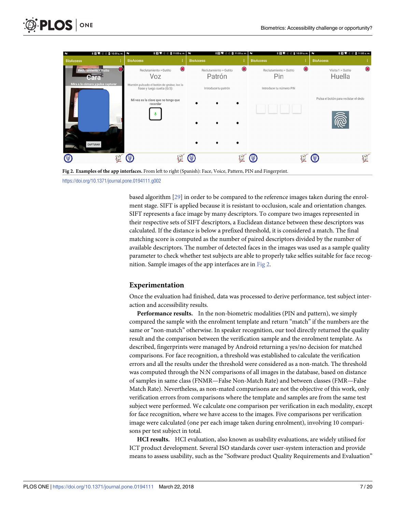<span id="page-7-0"></span>

| <b>*図 ▼ 図 図 10:59 a.m.</b> N<br>P.       | <b>* 图 ▼ 图 图 11:00 a.m.</b> N                                            | <b>*図 ▼ 图图 11:00 a.m.</b> N                     | <b>*図 ▼ 亚 区 目 10:59 a.m.</b> N             | <b>*図 ▼ 图图 11:00 a.m.</b>                |
|------------------------------------------|--------------------------------------------------------------------------|-------------------------------------------------|--------------------------------------------|------------------------------------------|
| <b>BioAccess</b>                         | <b>BioAccess</b>                                                         | <b>BioAccess</b>                                | <b>BioAccess</b>                           | <b>BioAccess</b>                         |
| <b>Reclutamiento &gt; Gutito</b><br>Cara | $\bullet$<br>Reclutamiento > Gutito<br>Voz                               | $\mathbf x$<br>Reclutamiento > Gutito<br>Patrón | $\bullet$<br>Reclutamiento > Gutito<br>Pin | $\bullet$<br>Visita 1 > Gutito<br>Huella |
| Mira a la cámara y pulsa capturar        | Mantén pulsado el botón de grabar, lee la<br>frase y luego suelta (0/3): | Introduce tu patrón                             | Introduce tu número PIN                    |                                          |
| CAPTURAR                                 | Mi voz es la clave que no tengo que<br>recordar<br>٥                     |                                                 |                                            | Pulsa el botón para reclutar el dedo     |
| E<br>$\circledast$                       | 4<br>يره                                                                 | $\circledR$                                     | $\textcircled{\tiny{m}}$<br>يره            | 复<br><b>SOLU</b>                         |

**[Fig 2.](#page-6-0) Examples of the app interfaces.** From left to right (Spanish): Face, Voice, Pattern, PIN and Fingerprint.

<https://doi.org/10.1371/journal.pone.0194111.g002>

based algorithm [[29](#page-19-0)] in order to be compared to the reference images taken during the enrolment stage. SIFT is applied because it is resistant to occlusion, scale and orientation changes. SIFT represents a face image by many descriptors. To compare two images represented in their respective sets of SIFT descriptors, a Euclidean distance between these descriptors was calculated. If the distance is below a prefixed threshold, it is considered a match. The final matching score is computed as the number of paired descriptors divided by the number of available descriptors. The number of detected faces in the images was used as a sample quality parameter to check whether test subjects are able to properly take selfies suitable for face recognition. Sample images of the app interfaces are in [Fig 2.](#page-6-0)

#### **Experimentation**

Once the evaluation had finished, data was processed to derive performance, test subject interaction and accessibility results.

**Performance results.** In the non-biometric modalities (PIN and pattern), we simply compared the sample with the enrolment template and return "match" if the numbers are the same or "non-match" otherwise. In speaker recognition, our tool directly returned the quality result and the comparison between the verification sample and the enrolment template. As described, fingerprints were managed by Android returning a yes/no decision for matched comparisons. For face recognition, a threshold was established to calculate the verification errors and all the results under the threshold were considered as a non-match. The threshold was computed through the N:N comparisons of all images in the database, based on distance of samples in same class (FNMR—False Non-Match Rate) and between classes (FMR—False Match Rate). Nevertheless, as non-mated comparisons are not the objective of this work, only verification errors from comparisons where the template and samples are from the same test subject were performed. We calculate one comparison per verification in each modality, except for face recognition, where we have access to the images. Five comparisons per verification image were calculated (one per each image taken during enrolment), involving 10 comparisons per test subject in total.

**HCI results.** HCI evaluation, also known as usability evaluations, are widely utilised for ICT product development. Several ISO standards cover user-system interaction and provide means to assess usability, such as the "Software product Quality Requirements and Evaluation"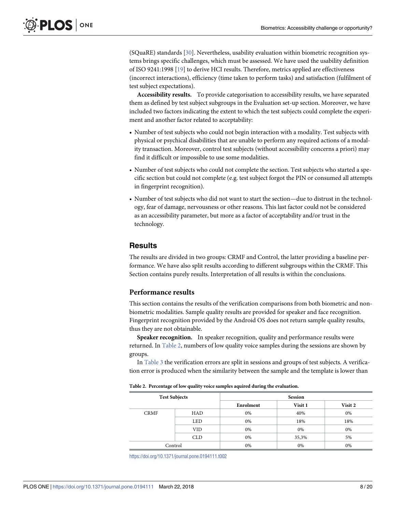<span id="page-8-0"></span>(SQuaRE) standards [\[30\]](#page-19-0). Nevertheless, usability evaluation within biometric recognition systems brings specific challenges, which must be assessed. We have used the usability definition of ISO 9241:1998 [[19](#page-18-0)] to derive HCI results. Therefore, metrics applied are effectiveness (incorrect interactions), efficiency (time taken to perform tasks) and satisfaction (fulfilment of test subject expectations).

**Accessibility results.** To provide categorisation to accessibility results, we have separated them as defined by test subject subgroups in the Evaluation set-up section. Moreover, we have included two factors indicating the extent to which the test subjects could complete the experiment and another factor related to acceptability:

- Number of test subjects who could not begin interaction with a modality. Test subjects with physical or psychical disabilities that are unable to perform any required actions of a modality transaction. Moreover, control test subjects (without accessibility concerns a priori) may find it difficult or impossible to use some modalities.
- Number of test subjects who could not complete the section. Test subjects who started a specific section but could not complete (e.g. test subject forgot the PIN or consumed all attempts in fingerprint recognition).
- Number of test subjects who did not want to start the section—due to distrust in the technology, fear of damage, nervousness or other reasons. This last factor could not be considered as an accessibility parameter, but more as a factor of acceptability and/or trust in the technology.

#### **Results**

The results are divided in two groups: CRMF and Control, the latter providing a baseline performance. We have also split results according to different subgroups within the CRMF. This Section contains purely results. Interpretation of all results is within the conclusions.

#### **Performance results**

This section contains the results of the verification comparisons from both biometric and nonbiometric modalities. Sample quality results are provided for speaker and face recognition. Fingerprint recognition provided by the Android OS does not return sample quality results, thus they are not obtainable.

**Speaker recognition.** In speaker recognition, quality and performance results were returned. In [Table 2,](#page-7-0) numbers of low quality voice samples during the sessions are shown by groups.

In Table 3 the verification errors are split in sessions and groups of test subjects. A verification error is produced when the similarity between the sample and the template is lower than

|  |  |  |  | Table 2. Percentage of low quality voice samples aquired during the evaluation. |
|--|--|--|--|---------------------------------------------------------------------------------|
|--|--|--|--|---------------------------------------------------------------------------------|

| <b>Test Subjects</b> |            | <b>Session</b> |         |         |
|----------------------|------------|----------------|---------|---------|
|                      |            | Enrolment      | Visit 1 | Visit 2 |
| <b>CRMF</b>          | <b>HAD</b> | 0%             | 40%     | 0%      |
|                      | <b>LED</b> | 0%             | 18%     | 18%     |
|                      | <b>VID</b> | 0%             | 0%      | 0%      |
|                      | <b>CLD</b> | 0%             | 35,3%   | 5%      |
| Control              |            | 0%             | 0%      | 0%      |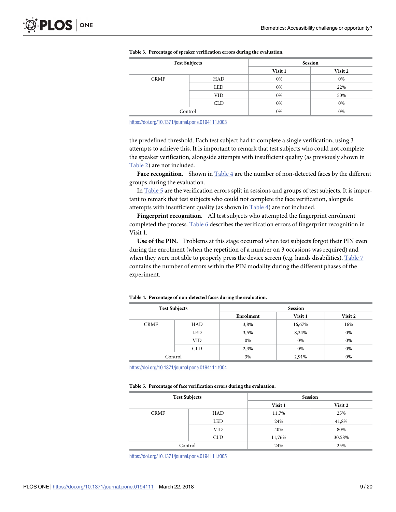| <b>Test Subjects</b> |            | <b>Session</b> |         |  |
|----------------------|------------|----------------|---------|--|
|                      |            | Visit 1        | Visit 2 |  |
| <b>CRMF</b>          | <b>HAD</b> | 0%             | 0%      |  |
|                      | <b>LED</b> | 0%             | 22%     |  |
|                      | VID        | 0%             | 50%     |  |
|                      | <b>CLD</b> | 0%             | 0%      |  |
| Control              |            | 0%             | 0%      |  |

#### <span id="page-9-0"></span>**[Table 3.](#page-7-0) Percentage of speaker verification errors during the evaluation.**

<https://doi.org/10.1371/journal.pone.0194111.t003>

the predefined threshold. Each test subject had to complete a single verification, using 3 attempts to achieve this. It is important to remark that test subjects who could not complete the speaker verification, alongside attempts with insufficient quality (as previously shown in [Table 2](#page-7-0)) are not included.

**Face recognition.** Shown in  $Table 4$  are the number of non-detected faces by the different groups during the evaluation.

In [Table 5](#page-8-0) are the verification errors split in sessions and groups of test subjects. It is important to remark that test subjects who could not complete the face verification, alongside attempts with insufficient quality (as shown in  $Table 4$ ) are not included.

**Fingerprint recognition.** All test subjects who attempted the fingerprint enrolment completed the process. Table 6 describes the verification errors of fingerprint recognition in Visit 1.

**Use of the PIN.** Problems at this stage occurred when test subjects forgot their PIN even during the enrolment (when the repetition of a number on 3 occasions was required) and when they were not able to properly press the device screen (e.g. hands disabilities). Table 7 contains the number of errors within the PIN modality during the different phases of the experiment.

| <b>Test Subjects</b> |            | <b>Session</b> |         |         |
|----------------------|------------|----------------|---------|---------|
|                      |            | Enrolment      | Visit 1 | Visit 2 |
| <b>CRMF</b>          | <b>HAD</b> | 3,8%           | 16,67%  | 16%     |
|                      | <b>LED</b> | 3,5%           | 8,34%   | 0%      |
|                      | VID        | 0%             | 0%      | 0%      |
|                      | <b>CLD</b> | 2,3%           | 0%      | 0%      |
| Control              |            | 3%             | 2,91%   | 0%      |

#### **[Table 4.](#page-8-0) Percentage of non-detected faces during the evaluation.**

<https://doi.org/10.1371/journal.pone.0194111.t004>

#### **[Table 5.](#page-8-0) Percentage of face verification errors during the evaluation.**

| <b>Test Subjects</b> |            | Session |         |
|----------------------|------------|---------|---------|
|                      |            | Visit 1 | Visit 2 |
| <b>CRMF</b>          | HAD        | 11,7%   | 25%     |
|                      | <b>LED</b> | 24%     | 41,8%   |
|                      | VID        | 40%     | 80%     |
|                      | <b>CLD</b> | 11,76%  | 30,58%  |
|                      | Control    | 24%     | 25%     |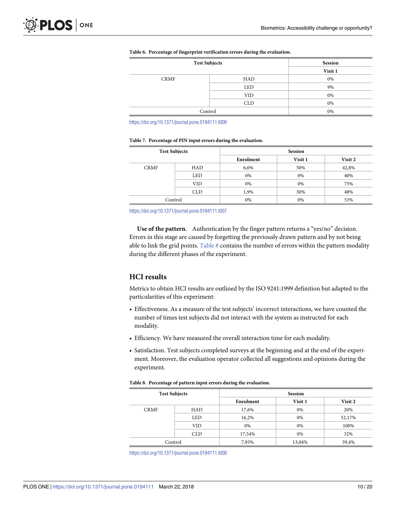| <b>Test Subjects</b> |            | Session |
|----------------------|------------|---------|
|                      |            | Visit 1 |
| <b>CRMF</b>          | <b>HAD</b> | 0%      |
|                      | <b>LED</b> | 9%      |
|                      | <b>VID</b> | 0%      |
|                      | CLD        | 0%      |
| Control              |            | 0%      |

#### <span id="page-10-0"></span>**[Table 6.](#page-8-0) Percentage of fingerprint verification errors during the evaluation.**

<https://doi.org/10.1371/journal.pone.0194111.t006>

|  | Table 7. Percentage of PIN input errors during the evaluation. |  |  |
|--|----------------------------------------------------------------|--|--|
|--|----------------------------------------------------------------|--|--|

| <b>Test Subjects</b> |            | <b>Session</b> |         |         |
|----------------------|------------|----------------|---------|---------|
|                      |            | Enrolment      | Visit 1 | Visit 2 |
| <b>CRMF</b>          | <b>HAD</b> | 6,6%           | 50%     | 42,8%   |
|                      | <b>LED</b> | 0%             | 0%      | 40%     |
|                      | VID        | 0%             | 0%      | 75%     |
|                      | <b>CLD</b> | 1,9%           | 30%     | 48%     |
| Control              |            | 0%             | 0%      | 53%     |

<https://doi.org/10.1371/journal.pone.0194111.t007>

**Use of the pattern.** Authentication by the finger pattern returns a "yes/no" decision. Errors in this stage are caused by forgetting the previously drawn pattern and by not being able to link the grid points. Table  $8$  contains the number of errors within the pattern modality during the different phases of the experiment.

#### **HCI results**

Metrics to obtain HCI results are outlined by the ISO 9241:1999 definition but adapted to the particularities of this experiment:

- Effectiveness. As a measure of the test subjects' incorrect interactions, we have counted the number of times test subjects did not interact with the system as instructed for each modality.
- Efficiency. We have measured the overall interaction time for each modality.
- Satisfaction. Test subjects completed surveys at the beginning and at the end of the experiment. Moreover, the evaluation operator collected all suggestions and opinions during the experiment.

| <b>Test Subjects</b> |            | <b>Session</b> |         |         |
|----------------------|------------|----------------|---------|---------|
|                      |            | Enrolment      | Visit 1 | Visit 2 |
| <b>CRMF</b>          | <b>HAD</b> | 17,6%          | 0%      | 20%     |
|                      | <b>LED</b> | 16,2%          | 0%      | 52,17%  |
|                      | VID        | 0%             | 0%      | 100%    |
|                      | CLD.       | 17,54%         | 0%      | 32%     |
| Control              |            | 7,93%          | 13,04%  | 39,4%   |

**[Table 8.](#page-9-0) Percentage of pattern input errors during the evaluation.**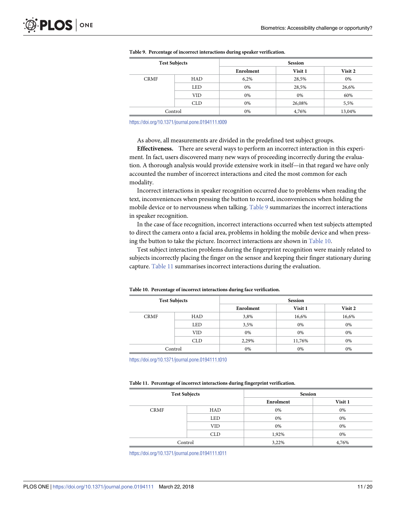| <b>Test Subjects</b> |            | <b>Session</b> |         |         |  |  |
|----------------------|------------|----------------|---------|---------|--|--|
|                      |            | Enrolment      | Visit 1 | Visit 2 |  |  |
| <b>CRMF</b>          | HAD        | 6,2%           | 28,5%   | 0%      |  |  |
|                      | <b>LED</b> | 0%             | 28,5%   | 26,6%   |  |  |
|                      | VID        | 0%             | 0%      | 60%     |  |  |
|                      | <b>CLD</b> | 0%             | 26,08%  | 5,5%    |  |  |
| Control              |            | 0%             | 4,76%   | 13,04%  |  |  |

#### <span id="page-11-0"></span>**[Table 9.](#page-10-0) Percentage of incorrect interactions during speaker verification.**

<https://doi.org/10.1371/journal.pone.0194111.t009>

As above, all measurements are divided in the predefined test subject groups.

**Effectiveness.** There are several ways to perform an incorrect interaction in this experiment. In fact, users discovered many new ways of proceeding incorrectly during the evaluation. A thorough analysis would provide extensive work in itself—in that regard we have only accounted the number of incorrect interactions and cited the most common for each modality.

Incorrect interactions in speaker recognition occurred due to problems when reading the text, inconveniences when pressing the button to record, inconveniences when holding the mobile device or to nervousness when talking. [Table 9](#page-10-0) summarizes the incorrect interactions in speaker recognition.

In the case of face recognition, incorrect interactions occurred when test subjects attempted to direct the camera onto a facial area, problems in holding the mobile device and when pressing the button to take the picture. Incorrect interactions are shown in [Table 10](#page-10-0).

Test subject interaction problems during the fingerprint recognition were mainly related to subjects incorrectly placing the finger on the sensor and keeping their finger stationary during capture. [Table 11](#page-10-0) summarises incorrect interactions during the evaluation.

| <b>Test Subjects</b> |            | <b>Session</b> |         |         |  |  |
|----------------------|------------|----------------|---------|---------|--|--|
|                      |            | Enrolment      | Visit 1 | Visit 2 |  |  |
| <b>CRMF</b>          | HAD        | 3,8%           | 16,6%   | 16,6%   |  |  |
|                      | <b>LED</b> | 3,5%           | 0%      | 0%      |  |  |
|                      | VID        | 0%             | 0%      | 0%      |  |  |
|                      | <b>CLD</b> | 2,29%          | 11,76%  | 0%      |  |  |
| Control              |            | 0%             | 0%      | 0%      |  |  |

#### **[Table 10.](#page-10-0) Percentage of incorrect interactions during face verification.**

<https://doi.org/10.1371/journal.pone.0194111.t010>

#### **[Table 11.](#page-10-0) Percentage of incorrect interactions during fingerprint verification.**

| <b>Test Subjects</b> |            | <b>Session</b> |         |  |
|----------------------|------------|----------------|---------|--|
|                      |            | Enrolment      | Visit 1 |  |
| <b>CRMF</b>          | HAD        | 0%             | 0%      |  |
|                      | <b>LED</b> | 0%             | 0%      |  |
|                      | <b>VID</b> | 0%             | 0%      |  |
|                      | <b>CLD</b> | 1,92%          | 0%      |  |
| Control              |            | 3,22%          | 4,76%   |  |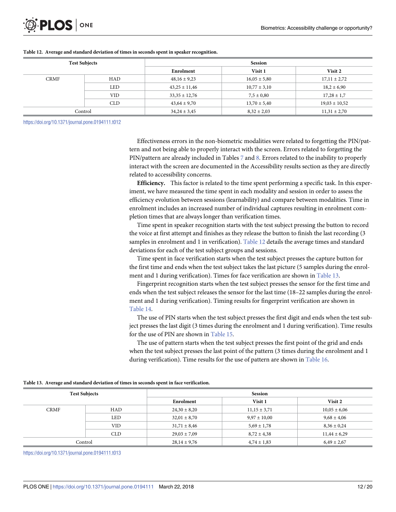<span id="page-12-0"></span>

| <b>Test Subjects</b> |            | <b>Session</b>    |                  |                   |  |
|----------------------|------------|-------------------|------------------|-------------------|--|
|                      |            | Enrolment         | Visit 1          | Visit 2           |  |
| <b>CRMF</b>          | <b>HAD</b> | $48,16 \pm 9,23$  | $16,05 \pm 5,80$ | $17,11 \pm 2,72$  |  |
|                      | <b>LED</b> | $43,25 \pm 11,46$ | $10,77 \pm 3,10$ | $18,2 \pm 6,90$   |  |
|                      | <b>VID</b> | $33,35 \pm 12,76$ | $7,5 \pm 0,80$   | $17,28 \pm 1,7$   |  |
|                      | CLD        | $43,64 \pm 9,70$  | $13,70 \pm 5,40$ | $19,03 \pm 10,52$ |  |
|                      | Control    | $34,24 \pm 3,45$  | $8,32 \pm 2,03$  | $11,31 \pm 2,70$  |  |

#### **[Table 12.](#page-11-0) Average and standard deviation of times in seconds spent in speaker recognition.**

<https://doi.org/10.1371/journal.pone.0194111.t012>

Effectiveness errors in the non-biometric modalities were related to forgetting the PIN/pattern and not being able to properly interact with the screen. Errors related to forgetting the PIN/pattern are already included in Tables [7](#page-9-0) and [8.](#page-9-0) Errors related to the inability to properly interact with the screen are documented in the Accessibility results section as they are directly related to accessibility concerns.

**Efficiency.** This factor is related to the time spent performing a specific task. In this experiment, we have measured the time spent in each modality and session in order to assess the efficiency evolution between sessions (learnability) and compare between modalities. Time in enrolment includes an increased number of individual captures resulting in enrolment completion times that are always longer than verification times.

Time spent in speaker recognition starts with the test subject pressing the button to record the voice at first attempt and finishes as they release the button to finish the last recording (3 samples in enrolment and 1 in verification). [Table 12](#page-11-0) details the average times and standard deviations for each of the test subject groups and sessions.

Time spent in face verification starts when the test subject presses the capture button for the first time and ends when the test subject takes the last picture (5 samples during the enrolment and 1 during verification). Times for face verification are shown in [Table 13.](#page-11-0)

Fingerprint recognition starts when the test subject presses the sensor for the first time and ends when the test subject releases the sensor for the last time (18–22 samples during the enrolment and 1 during verification). Timing results for fingerprint verification are shown in Table 14.

The use of PIN starts when the test subject presses the first digit and ends when the test subject presses the last digit (3 times during the enrolment and 1 during verification). Time results for the use of PIN are shown in Table 15.

The use of pattern starts when the test subject presses the first point of the grid and ends when the test subject presses the last point of the pattern (3 times during the enrolment and 1 during verification). Time results for the use of pattern are shown in Table 16.

| <b>Test Subjects</b> |            | <b>Session</b>   |                  |                  |  |
|----------------------|------------|------------------|------------------|------------------|--|
|                      |            | Enrolment        | Visit 1          | Visit 2          |  |
| <b>CRMF</b>          | <b>HAD</b> | $24,30 \pm 8,20$ | $11,15 \pm 3,71$ | $10,05 \pm 6,06$ |  |
|                      | <b>LED</b> | $32,01 \pm 8,70$ | $9,97 \pm 10,00$ | $9,68 \pm 4,06$  |  |
|                      | <b>VID</b> | $31,71 \pm 8,46$ | $5,69 \pm 1,78$  | $8,36 \pm 0,24$  |  |
|                      | CLD.       | $29,03 \pm 7,09$ | $8,72 \pm 4,38$  | $11,44 \pm 6,29$ |  |
| Control              |            | $28,14 \pm 9,76$ | $4,74 \pm 1,83$  | $6,49 \pm 2,67$  |  |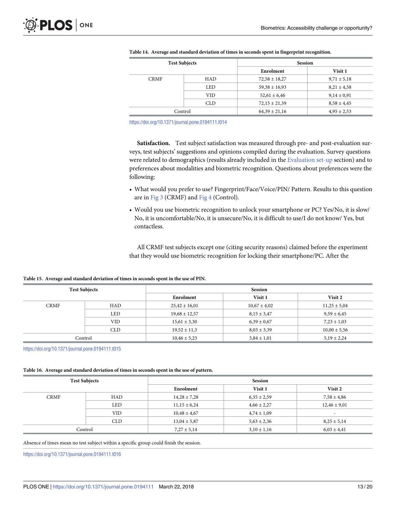| <b>Test Subjects</b> |      | <b>Session</b>    |                 |  |
|----------------------|------|-------------------|-----------------|--|
|                      |      | Enrolment         | Visit 1         |  |
| <b>CRMF</b>          | HAD  | $72,58 \pm 18,27$ | $9,71 \pm 5,18$ |  |
|                      | LED. | $59,38 \pm 16,93$ | $8,21 \pm 4,58$ |  |
|                      | VID  | $52,61 \pm 6,46$  | $9,14 \pm 0,91$ |  |
|                      | CLD  | $72,15 \pm 21,39$ | $8,58 \pm 4,45$ |  |
| Control              |      | $64,39 \pm 21,16$ | $4,95 \pm 2,53$ |  |

|  | Table 14. Average and standard deviation of times in seconds spent in fingerprint recognition. |  |  |  |  |  |  |  |
|--|------------------------------------------------------------------------------------------------|--|--|--|--|--|--|--|
|--|------------------------------------------------------------------------------------------------|--|--|--|--|--|--|--|

<https://doi.org/10.1371/journal.pone.0194111.t014>

**Satisfaction.** Test subject satisfaction was measured through pre- and post-evaluation surveys, test subjects' suggestions and opinions compiled during the evaluation. Survey questions were related to demographics (results already included in the [Evaluation set-up](#page-2-0) section) and to preferences about modalities and biometric recognition. Questions about preferences were the following:

- What would you prefer to use? Fingerprint/Face/Voice/PIN/ Pattern. Results to this question are in  $Fig 3$  (CRMF) and  $Fig 4$  (Control).
- Would you use biometric recognition to unlock your smartphone or PC? Yes/No, it is slow/ No, it is uncomfortable/No, it is unsecure/No, it is difficult to use/I do not know/ Yes, but contactless.

All CRMF test subjects except one (citing security reasons) claimed before the experiment that they would use biometric recognition for locking their smartphone/PC. After the

| Table 15. Average and standard deviation of times in seconds spent in the use of PIN. |  |  |
|---------------------------------------------------------------------------------------|--|--|
|---------------------------------------------------------------------------------------|--|--|

| <b>Test Subjects</b> |            | <b>Session</b>    |                  |                  |  |
|----------------------|------------|-------------------|------------------|------------------|--|
|                      |            | Enrolment         | Visit 1          | Visit 2          |  |
| <b>CRMF</b>          | <b>HAD</b> | $25,42 \pm 16,01$ | $10,67 \pm 4,02$ | $11,25 \pm 5,04$ |  |
|                      | LED        | $19,68 \pm 12,57$ | $8,15 \pm 3,47$  | $9,59 \pm 6,45$  |  |
|                      | <b>VID</b> | $15,61 \pm 3,30$  | $6,39 \pm 0,67$  | $7,23 \pm 1,03$  |  |
|                      | <b>CLD</b> | $19,52 \pm 11,3$  | $8,03 \pm 3,39$  | $10,00 \pm 5,56$ |  |
|                      | Control    | $10,46 \pm 5,23$  | $3,84 \pm 1,01$  | $5,19 \pm 2,24$  |  |

<https://doi.org/10.1371/journal.pone.0194111.t015>

|  |  |  |  |  |  |  | Table 16. Average and standard deviation of times in seconds spent in the use of pattern. |
|--|--|--|--|--|--|--|-------------------------------------------------------------------------------------------|
|--|--|--|--|--|--|--|-------------------------------------------------------------------------------------------|

| <b>Test Subjects</b> |            | <b>Session</b>   |                 |                  |  |
|----------------------|------------|------------------|-----------------|------------------|--|
|                      |            | Enrolment        | Visit 1         | Visit 2          |  |
| <b>CRMF</b>          | <b>HAD</b> | $14,28 \pm 7,28$ | $6,35 \pm 2,59$ | $7,58 \pm 4,86$  |  |
|                      | <b>LED</b> | $11,15 \pm 6,24$ | $4,66 \pm 2,27$ | $12,46 \pm 9,01$ |  |
|                      | <b>VID</b> | $10,48 \pm 4,67$ | $4,74 \pm 1,09$ | ۰                |  |
|                      | CLD        | $13,04 \pm 5,87$ | $5,63 \pm 2,36$ | $8,25 \pm 5,14$  |  |
|                      | Control    | $7,27 \pm 5,14$  | $3,10 \pm 1,16$ | $6,03 \pm 4,41$  |  |

Absence of times mean no test subject within a specific group could finish the session.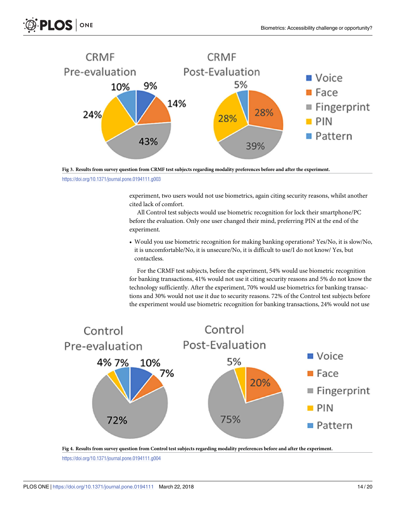<span id="page-14-0"></span>

**[Fig 3. R](#page-12-0)esults from survey question from CRMF test subjects regarding modality preferences before and after the experiment.**

<https://doi.org/10.1371/journal.pone.0194111.g003>

experiment, two users would not use biometrics, again citing security reasons, whilst another cited lack of comfort.

All Control test subjects would use biometric recognition for lock their smartphone/PC before the evaluation. Only one user changed their mind, preferring PIN at the end of the experiment.

• Would you use biometric recognition for making banking operations? Yes/No, it is slow/No, it is uncomfortable/No, it is unsecure/No, it is difficult to use/I do not know/ Yes, but contactless.

For the CRMF test subjects, before the experiment, 54% would use biometric recognition for banking transactions, 41% would not use it citing security reasons and 5% do not know the technology sufficiently. After the experiment, 70% would use biometrics for banking transactions and 30% would not use it due to security reasons. 72% of the Control test subjects before the experiment would use biometric recognition for banking transactions, 24% would not use



**[Fig 4. R](#page-12-0)esults from survey question from Control test subjects regarding modality preferences before and after the experiment.**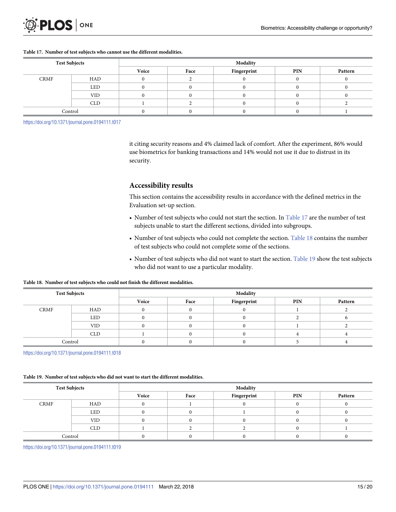

| <b>Test Subjects</b> |     | Modality |      |             |     |         |  |
|----------------------|-----|----------|------|-------------|-----|---------|--|
|                      |     | Voice    | Face | Fingerprint | PIN | Pattern |  |
| CRMF                 | HAD |          |      |             |     |         |  |
|                      | LED |          |      |             |     |         |  |
|                      | VID |          |      |             |     |         |  |
|                      | CLD |          |      |             |     |         |  |
| Control              |     |          |      |             |     |         |  |

#### **[Table 17.](#page-14-0) Number of test subjects who cannot use the different modalities.**

<https://doi.org/10.1371/journal.pone.0194111.t017>

it citing security reasons and 4% claimed lack of comfort. After the experiment, 86% would use biometrics for banking transactions and 14% would not use it due to distrust in its security.

#### **Accessibility results**

This section contains the accessibility results in accordance with the defined metrics in the Evaluation set-up section.

- Number of test subjects who could not start the section. In  $Table 17$  are the number of test subjects unable to start the different sections, divided into subgroups.
- Number of test subjects who could not complete the section. [Table 18](#page-14-0) contains the number of test subjects who could not complete some of the sections.
- Number of test subjects who did not want to start the section. [Table 19](#page-14-0) show the test subjects who did not want to use a particular modality.

| <b>Test Subjects</b> |      | Modality |      |             |     |         |  |
|----------------------|------|----------|------|-------------|-----|---------|--|
|                      |      | Voice    | Face | Fingerprint | PIN | Pattern |  |
| <b>CRMF</b>          | HAD  |          |      |             |     |         |  |
|                      | LED  |          |      |             |     |         |  |
|                      | VID. |          |      |             |     |         |  |
|                      | CLD  |          |      |             |     |         |  |
| Control              |      |          |      |             |     |         |  |

#### **[Table 18.](#page-14-0) Number of test subjects who could not finish the different modalities.**

<https://doi.org/10.1371/journal.pone.0194111.t018>

#### **[Table 19.](#page-14-0) Number of test subjects who did not want to start the different modalities.**

| <b>Test Subjects</b> |     | Modality |      |             |            |         |  |
|----------------------|-----|----------|------|-------------|------------|---------|--|
|                      |     | Voice    | Face | Fingerprint | <b>PIN</b> | Pattern |  |
| CRMF                 | HAD |          |      |             |            |         |  |
|                      | LED |          |      |             |            |         |  |
|                      | VID |          |      |             |            |         |  |
|                      | CLD |          |      |             |            |         |  |
| Control              |     |          |      |             |            |         |  |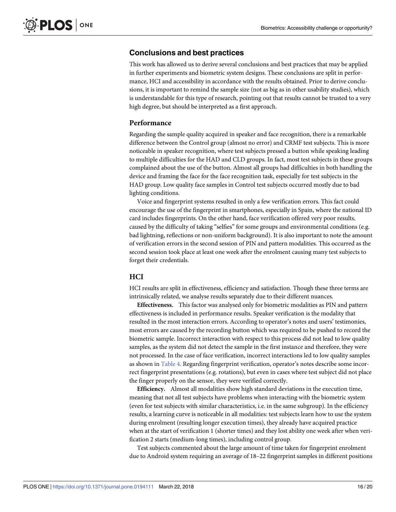#### **Conclusions and best practices**

This work has allowed us to derive several conclusions and best practices that may be applied in further experiments and biometric system designs. These conclusions are split in performance, HCI and accessibility in accordance with the results obtained. Prior to derive conclusions, it is important to remind the sample size (not as big as in other usability studies), which is understandable for this type of research, pointing out that results cannot be trusted to a very high degree, but should be interpreted as a first approach.

#### **Performance**

Regarding the sample quality acquired in speaker and face recognition, there is a remarkable difference between the Control group (almost no error) and CRMF test subjects. This is more noticeable in speaker recognition, where test subjects pressed a button while speaking leading to multiple difficulties for the HAD and CLD groups. In fact, most test subjects in these groups complained about the use of the button. Almost all groups had difficulties in both handling the device and framing the face for the face recognition task, especially for test subjects in the HAD group. Low quality face samples in Control test subjects occurred mostly due to bad lighting conditions.

Voice and fingerprint systems resulted in only a few verification errors. This fact could encourage the use of the fingerprint in smartphones, especially in Spain, where the national ID card includes fingerprints. On the other hand, face verification offered very poor results, caused by the difficulty of taking "selfies" for some groups and environmental conditions (e.g. bad lightning, reflections or non-uniform background). It is also important to note the amount of verification errors in the second session of PIN and pattern modalities. This occurred as the second session took place at least one week after the enrolment causing many test subjects to forget their credentials.

#### **HCI**

HCI results are split in effectiveness, efficiency and satisfaction. Though these three terms are intrinsically related, we analyse results separately due to their different nuances.

**Effectiveness.** This factor was analysed only for biometric modalities as PIN and pattern effectiveness is included in performance results. Speaker verification is the modality that resulted in the most interaction errors. According to operator's notes and users' testimonies, most errors are caused by the recording button which was required to be pushed to record the biometric sample. Incorrect interaction with respect to this process did not lead to low quality samples, as the system did not detect the sample in the first instance and therefore, they were not processed. In the case of face verification, incorrect interactions led to low quality samples as shown in [Table 4](#page-8-0). Regarding fingerprint verification, operator's notes describe some incorrect fingerprint presentations (e.g. rotations), but even in cases where test subject did not place the finger properly on the sensor, they were verified correctly.

**Efficiency.** Almost all modalities show high standard deviations in the execution time, meaning that not all test subjects have problems when interacting with the biometric system (even for test subjects with similar characteristics, i.e. in the same subgroup). In the efficiency results, a learning curve is noticeable in all modalities: test subjects learn how to use the system during enrolment (resulting longer execution times), they already have acquired practice when at the start of verification 1 (shorter times) and they lost ability one week after when verification 2 starts (medium-long times), including control group.

Test subjects commented about the large amount of time taken for fingerprint enrolment due to Android system requiring an average of 18–22 fingerprint samples in different positions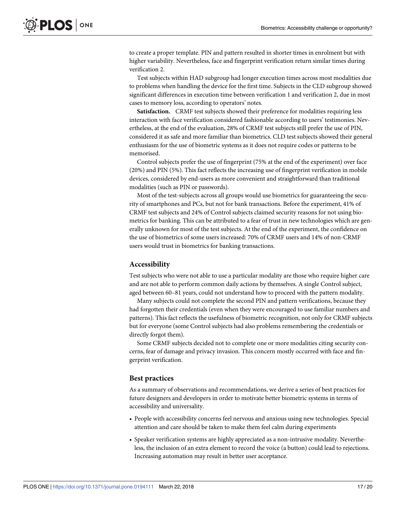to create a proper template. PIN and pattern resulted in shorter times in enrolment but with higher variability. Nevertheless, face and fingerprint verification return similar times during verification 2.

Test subjects within HAD subgroup had longer execution times across most modalities due to problems when handling the device for the first time. Subjects in the CLD subgroup showed significant differences in execution time between verification 1 and verification 2, due in most cases to memory loss, according to operators' notes.

Satisfaction. CRMF test subjects showed their preference for modalities requiring less interaction with face verification considered fashionable according to users' testimonies. Nevertheless, at the end of the evaluation, 28% of CRMF test subjects still prefer the use of PIN, considered it as safe and more familiar than biometrics. CLD test subjects showed their general enthusiasm for the use of biometric systems as it does not require codes or patterns to be memorised.

Control subjects prefer the use of fingerprint (75% at the end of the experiment) over face (20%) and PIN (5%). This fact reflects the increasing use of fingerprint verification in mobile devices, considered by end-users as more convenient and straightforward than traditional modalities (such as PIN or passwords).

Most of the test-subjects across all groups would use biometrics for guaranteeing the security of smartphones and PCs, but not for bank transactions. Before the experiment, 41% of CRMF test subjects and 24% of Control subjects claimed security reasons for not using biometrics for banking. This can be attributed to a fear of trust in new technologies which are generally unknown for most of the test subjects. At the end of the experiment, the confidence on the use of biometrics of some users increased: 70% of CRMF users and 14% of non-CRMF users would trust in biometrics for banking transactions.

#### **Accessibility**

Test subjects who were not able to use a particular modality are those who require higher care and are not able to perform common daily actions by themselves. A single Control subject, aged between 60–81 years, could not understand how to proceed with the pattern modality.

Many subjects could not complete the second PIN and pattern verifications, because they had forgotten their credentials (even when they were encouraged to use familiar numbers and patterns). This fact reflects the usefulness of biometric recognition, not only for CRMF subjects but for everyone (some Control subjects had also problems remembering the credentials or directly forgot them).

Some CRMF subjects decided not to complete one or more modalities citing security concerns, fear of damage and privacy invasion. This concern mostly occurred with face and fingerprint verification.

#### **Best practices**

As a summary of observations and recommendations, we derive a series of best practices for future designers and developers in order to motivate better biometric systems in terms of accessibility and universality.

- People with accessibility concerns feel nervous and anxious using new technologies. Special attention and care should be taken to make them feel calm during experiments
- Speaker verification systems are highly appreciated as a non-intrusive modality. Nevertheless, the inclusion of an extra element to record the voice (a button) could lead to rejections. Increasing automation may result in better user acceptance.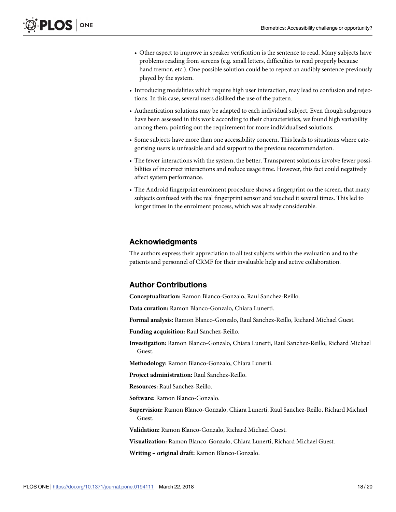- <span id="page-18-0"></span>• Other aspect to improve in speaker verification is the sentence to read. Many subjects have problems reading from screens (e.g. small letters, difficulties to read properly because hand tremor, etc.). One possible solution could be to repeat an audibly sentence previously played by the system.
- Introducing modalities which require high user interaction, may lead to confusion and rejections. In this case, several users disliked the use of the pattern.
- Authentication solutions may be adapted to each individual subject. Even though subgroups have been assessed in this work according to their characteristics, we found high variability among them, pointing out the requirement for more individualised solutions.
- Some subjects have more than one accessibility concern. This leads to situations where categorising users is unfeasible and add support to the previous recommendation.
- The fewer interactions with the system, the better. Transparent solutions involve fewer possibilities of incorrect interactions and reduce usage time. However, this fact could negatively affect system performance.
- The Android fingerprint enrolment procedure shows a fingerprint on the screen, that many subjects confused with the real fingerprint sensor and touched it several times. This led to longer times in the enrolment process, which was already considerable.

#### **Acknowledgments**

The authors express their appreciation to all test subjects within the evaluation and to the patients and personnel of CRMF for their invaluable help and active collaboration.

#### **Author Contributions**

**Conceptualization:** Ramon Blanco-Gonzalo, Raul Sanchez-Reillo.

**Data curation:** Ramon Blanco-Gonzalo, Chiara Lunerti.

**Formal analysis:** Ramon Blanco-Gonzalo, Raul Sanchez-Reillo, Richard Michael Guest.

**Funding acquisition:** Raul Sanchez-Reillo.

**Investigation:** Ramon Blanco-Gonzalo, Chiara Lunerti, Raul Sanchez-Reillo, Richard Michael Guest.

**Methodology:** Ramon Blanco-Gonzalo, Chiara Lunerti.

**Project administration:** Raul Sanchez-Reillo.

**Resources:** Raul Sanchez-Reillo.

**Software:** Ramon Blanco-Gonzalo.

**Supervision:** Ramon Blanco-Gonzalo, Chiara Lunerti, Raul Sanchez-Reillo, Richard Michael Guest.

**Validation:** Ramon Blanco-Gonzalo, Richard Michael Guest.

**Visualization:** Ramon Blanco-Gonzalo, Chiara Lunerti, Richard Michael Guest.

**Writing – original draft:** Ramon Blanco-Gonzalo.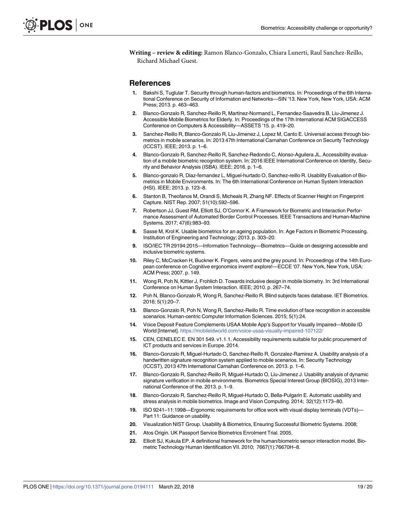<span id="page-19-0"></span>**Writing – review & editing:** Ramon Blanco-Gonzalo, Chiara Lunerti, Raul Sanchez-Reillo, Richard Michael Guest.

#### **References**

- **[1](#page-1-0).** Bakshi S, Tuglular T. Security through human-factors and biometrics. In: Proceedings of the 6th International Conference on Security of Information and Networks—SIN '13. New York, New York, USA: ACM Press; 2013. p. 463–463.
- **[2](#page-1-0).** Blanco-Gonzalo R, Sanchez-Reillo R, Martinez-Normand L, Fernandez-Saavedra B, Liu-Jimenez J. Accessible Mobile Biometrics for Elderly. In: Proceedings of the 17th International ACM SIGACCESS Conference on Computers & Accessibility—ASSETS '15. p. 419–20.
- **[3](#page-2-0).** Sanchez-Reillo R, Blanco-Gonzalo R, Liu-Jimenez J, Lopez M, Canto E. Universal access through biometrics in mobile scenarios. In: 2013 47th International Carnahan Conference on Security Technology (ICCST). IEEE; 2013. p. 1–6.
- **[4](#page-1-0).** Blanco-Gonzalo R, Sanchez-Reillo R, Sanchez-Redondo C, Alonso-Aguilera JL. Accessibility evaluation of a mobile biometric recognition system. In: 2016 IEEE International Conference on Identity, Security and Behavior Analysis (ISBA). IEEE; 2016. p. 1–6.
- **[5](#page-2-0).** Blanco-gonzalo R, Diaz-fernandez L, Miguel-hurtado O, Sanchez-reillo R. Usability Evaluation of Biometrics in Mobile Environments. In: The 6th International Conference on Human System Interaction (HSI). IEEE; 2013. p. 123–8.
- **6.** Stanton B, Theofanos M, Orandi S, Micheals R, Zhang NF. Effects of Scanner Height on Fingerprint Capture. NIST Rep. 2007; 51(10):592–596.
- **[7](#page-2-0).** Robertson JJ, Guest RM, Elliott SJ, O'Connor K. A Framework for Biometric and Interaction Performance Assessment of Automated Border Control Processes. IEEE Transactions and Human-Machine Systems. 2017; 47(6):983–93.
- **[8](#page-2-0).** Sasse M, Krol K. Usable biometrics for an ageing population. In: Age Factors in Biometric Processing. Institution of Engineering and Technology; 2013. p. 303–20.
- **[9](#page-2-0).** ISO/IEC TR 29194:2015—Information Technology—Biometrics—Guide on designing accessible and inclusive biometric systems.
- **[10](#page-2-0).** Riley C, McCracken H, Buckner K. Fingers, veins and the grey pound. In: Proceedings of the 14th European conference on Cognitive ergonomics invent! explore!—ECCE '07. New York, New York, USA: ACM Press; 2007. p. 149.
- **[11](#page-2-0).** Wong R, Poh N, Kittler J, Frohlich D. Towards inclusive design in mobile biometry. In: 3rd International Conference on Human System Interaction. IEEE; 2010. p. 267–74.
- **12.** Poh N, Blanco-Gonzalo R, Wong R, Sanchez-Reillo R. Blind subjects faces database. IET Biometrics. 2016; 5(1):20–7.
- **[13](#page-2-0).** Blanco-Gonzalo R, Poh N, Wong R, Sanchez-Reillo R. Time evolution of face recognition in accessible scenarios. Human-centric Computer Information Sciences. 2015; 5(1):24.
- **[14](#page-2-0).** Voice Deposit Feature Complements USAA Mobile App's Support for Visually Impaired—Mobile ID World [Internet]. <https://mobileidworld.com/voice-usaa-visually-impaired-107122/>
- **[15](#page-2-0).** CEN, CENELEC E. EN 301 549. v1.1.1. Accessibility requirements suitable for public procurement of ICT products and services in Europe. 2014.
- **[16](#page-2-0).** Blanco-Gonzalo R, Miguel-Hurtado O, Sanchez-Reillo R, Gonzalez-Ramirez A. Usability analysis of a handwritten signature recognition system applied to mobile scenarios. In: Security Technology (ICCST), 2013 47th International Carnahan Conference on. 2013. p. 1–6.
- **17.** Blanco-Gonzalo R, Sanchez-Reillo R, Miguel-Hurtado O, Liu-Jimenez J. Usability analysis of dynamic signature verification in mobile environments. Biometrics Special Interest Group (BIOSIG), 2013 International Conference of the. 2013. p. 1–9.
- **[18](#page-2-0).** Blanco-Gonzalo R, Sanchez-Reillo R, Miguel-Hurtado O, Bella-Pulgarin E. Automatic usability and stress analysis in mobile biometrics. Image and Vision Computing. 2014; 32(12):1173–80.
- **[19](#page-2-0).** ISO 9241–11:1998—Ergonomic requirements for office work with visual display terminals (VDTs)— Part 11: Guidance on usability.
- **[20](#page-2-0).** Visualization NIST Group. Usability & Biometrics, Ensuring Successful Biometric Systems. 2008;
- **[21](#page-2-0).** Atos Origin. UK Passport Service Biometrics Enrolment Trial. 2005.
- **[22](#page-2-0).** Elliott SJ, Kukula EP. A definitional framework for the human/biometric sensor interaction model. Biometric Technology Human Identification VII. 2010; 7667(1):76670H–8.